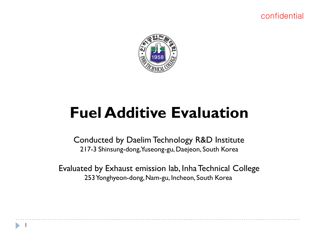

# **Fuel Additive Evaluation**

Conducted by Daelim Technology R&D Institute 217-3 Shinsung-dong, Yuseong-gu, Daejeon, South Korea

Evaluated by Exhaust emission lab, InhaTechnical College 253 Yonghyeon-dong, Nam-gu, Incheon, South Korea

1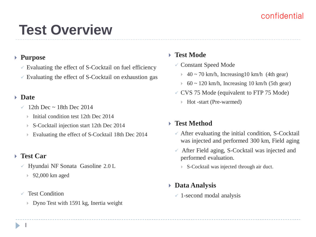# **Test Overview**

## **Purpose**

- $\checkmark$  Evaluating the effect of S-Cocktail on fuel efficiency
- $\checkmark$  Evaluating the effect of S-Cocktail on exhaustion gas

### **Date**

- 12th Dec ~ 18th Dec 2014
	- Initial condition test 12th Dec  $2014$
	- S-Cocktail injection start 12th Dec 2014
	- Evaluating the effect of S-Cocktail 18th Dec 2014

#### **Test Car**

- $\checkmark$  Hyundai NF Sonata Gasoline 2.0 L
	- 92,000 km aged
- $\sqrt{ }$  Test Condition
	- Dyno Test with 1591 kg, Inertia weight

## **Test Mode**

- Constant Speed Mode
	- $\rightarrow$  40 ~ 70 km/h, Increasing 10 km/h (4th gear)
	- $60 \sim 120$  km/h, Increasing 10 km/h (5th gear)
- $\checkmark$  CVS 75 Mode (equivalent to FTP 75 Mode)
	- Hot -start (Pre-warmed)

## **Test Method**

- $\checkmark$  After evaluating the initial condition, S-Cocktail was injected and performed 300 km, Field aging
- $\checkmark$  After Field aging, S-Cocktail was injected and performed evaluation.
	- ▶ S-Cocktail was injected through air duct.

#### **Data Analysis**

 $\checkmark$  1-second modal analysis

1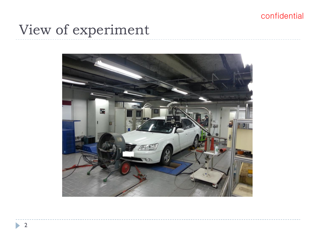# View of experiment

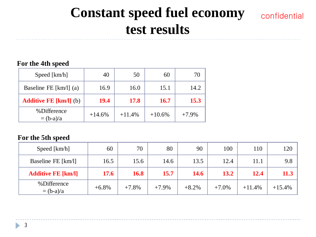# **Constant speed fuel economy test results**

## confidential

#### **For the 4th speed**

| Speed [km/h]                  | 40       | 50          | 60          |          |
|-------------------------------|----------|-------------|-------------|----------|
| Baseline FE $[km/l]$ (a)      | 16.9     | 16.0        | 15.1        | 14.2     |
| <b>Additive FE [km/l]</b> (b) | 19.4     | <b>17.8</b> | <b>16.7</b> | 15.3     |
| %Difference<br>$=(b-a)/a$     | $+14.6%$ | $+11.4%$    | $+10.6%$    | $+7.9\%$ |

#### **For the 5th speed**

| Speed [km/h]              | 60          | 70          | 80       | 90      | 100      | 110      | 120      |
|---------------------------|-------------|-------------|----------|---------|----------|----------|----------|
| Baseline FE [km/l]        | 16.5        | 15.6        | 14.6     | 13.5    | 12.4     | 11.1     | 9.8      |
| <b>Additive FE [km/l]</b> | <b>17.6</b> | <b>16.8</b> | 15.7     | 14.6    | 13.2     | 12.4     | 11.3     |
| %Difference<br>$=(b-a)/a$ | $+6.8\%$    | $+7.8%$     | $+7.9\%$ | $+8.2%$ | $+7.0\%$ | $+11.4%$ | $+15.4%$ |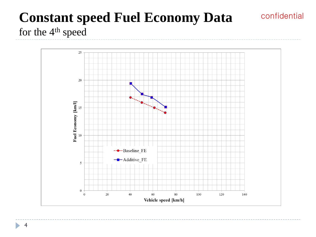## **Constant speed Fuel Economy Data**  for the 4th speed



confidential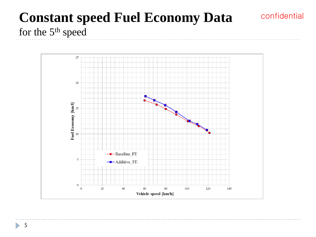## **Constant speed Fuel Economy Data**  for the 5th speed

confidential



5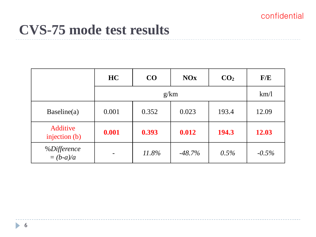## **CVS-75 mode test results**

|                            | HC    | CO    | <b>NOx</b> | CO <sub>2</sub> | F/E      |
|----------------------------|-------|-------|------------|-----------------|----------|
|                            |       | km/1  |            |                 |          |
| Baseline(a)                | 0.001 | 0.352 | 0.023      | 193.4           | 12.09    |
| Additive<br>injection (b)  | 0.001 | 0.393 | 0.012      | 194.3           | 12.03    |
| %Difference<br>= $(b-a)/a$ |       | 11.8% | $-48.7\%$  | 0.5%            | $-0.5\%$ |

b.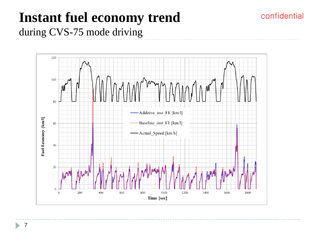## **Instant fuel economy trend** during CVS-75 mode driving

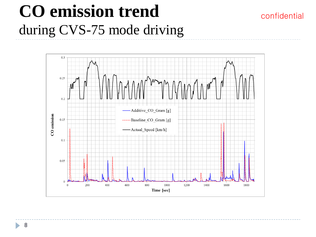# **CO emission trend** during CVS-75 mode driving



confidential

h,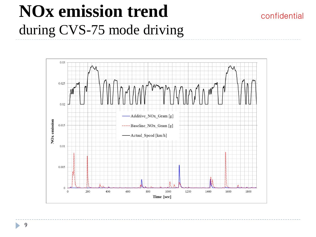# **NOx emission trend** during CVS-75 mode driving

confidential

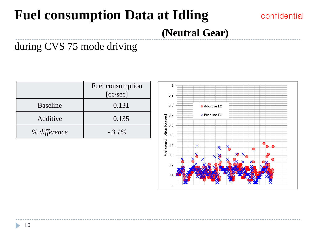# **Fuel consumption Data at Idling**

## confidential

 **(Neutral Gear)**

## during CVS 75 mode driving

|                 | Fuel consumption |
|-----------------|------------------|
|                 | [cc/sec]         |
| <b>Baseline</b> | 0.131            |
| Additive        | 0.135            |
| % difference    | $-3.1\%$         |